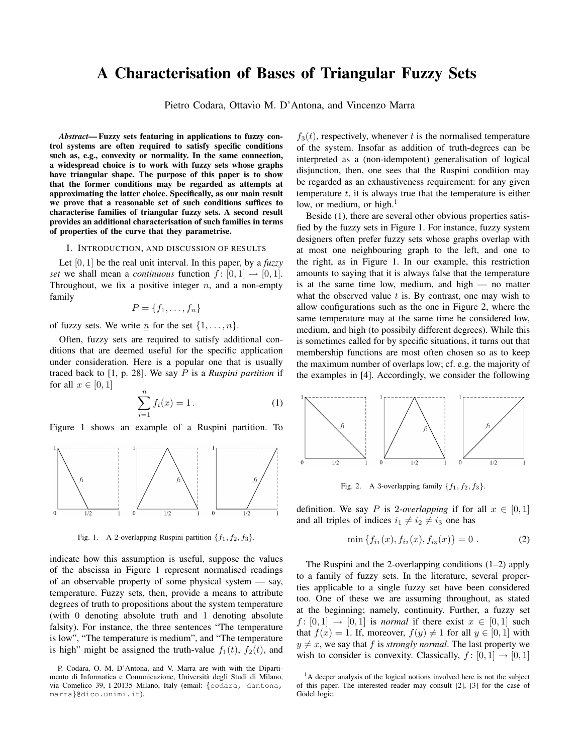# A Characterisation of Bases of Triangular Fuzzy Sets

Pietro Codara, Ottavio M. D'Antona, and Vincenzo Marra

*Abstract*— Fuzzy sets featuring in applications to fuzzy control systems are often required to satisfy specific conditions such as, e.g., convexity or normality. In the same connection, a widespread choice is to work with fuzzy sets whose graphs have triangular shape. The purpose of this paper is to show that the former conditions may be regarded as attempts at approximating the latter choice. Specifically, as our main result we prove that a reasonable set of such conditions suffices to characterise families of triangular fuzzy sets. A second result provides an additional characterisation of such families in terms of properties of the curve that they parametrise.

### I. INTRODUCTION, AND DISCUSSION OF RESULTS

Let [0*,* 1] be the real unit interval. In this paper, by a *fuzzy set* we shall mean a *continuous* function  $f: [0, 1] \rightarrow [0, 1]$ . Throughout, we fix a positive integer *n*, and a non-empty family

$$
P = \{f_1, \ldots, f_n\}
$$

of fuzzy sets. We write  $\underline{n}$  for the set  $\{1, \ldots, n\}$ .

Often, fuzzy sets are required to satisfy additional conditions that are deemed useful for the specific application under consideration. Here is a popular one that is usually traced back to [1, p. 28]. We say *P* is a *Ruspini partition* if for all  $x \in [0, 1]$ 

$$
\sum_{i=1}^{n} f_i(x) = 1.
$$
 (1)

Figure 1 shows an example of a Ruspini partition. To



Fig. 1. A 2-overlapping Ruspini partition  ${f_1, f_2, f_3}$ .

indicate how this assumption is useful, suppose the values of the abscissa in Figure 1 represent normalised readings of an observable property of some physical system — say, temperature. Fuzzy sets, then, provide a means to attribute degrees of truth to propositions about the system temperature (with 0 denoting absolute truth and 1 denoting absolute falsity). For instance, the three sentences "The temperature is low", "The temperature is medium", and "The temperature is high" might be assigned the truth-value  $f_1(t)$ ,  $f_2(t)$ , and

 $f_3(t)$ , respectively, whenever  $t$  is the normalised temperature of the system. Insofar as addition of truth-degrees can be interpreted as a (non-idempotent) generalisation of logical disjunction, then, one sees that the Ruspini condition may be regarded as an exhaustiveness requirement: for any given temperature *t*, it is always true that the temperature is either low, or medium, or high. $1$ 

Beside (1), there are several other obvious properties satisfied by the fuzzy sets in Figure 1. For instance, fuzzy system designers often prefer fuzzy sets whose graphs overlap with at most one neighbouring graph to the left, and one to the right, as in Figure 1. In our example, this restriction amounts to saying that it is always false that the temperature is at the same time low, medium, and high — no matter what the observed value *t* is. By contrast, one may wish to allow configurations such as the one in Figure 2, where the same temperature may at the same time be considered low, medium, and high (to possibily different degrees). While this is sometimes called for by specific situations, it turns out that membership functions are most often chosen so as to keep the maximum number of overlaps low; cf. e.g. the majority of the examples in [4]. Accordingly, we consider the following



Fig. 2. A 3-overlapping family  ${f_1, f_2, f_3}$ .

definition. We say *P* is 2*-overlapping* if for all  $x \in [0, 1]$ and all triples of indices  $i_1 \neq i_2 \neq i_3$  one has

$$
\min\left\{f_{i_1}(x), f_{i_2}(x), f_{i_3}(x)\right\} = 0.
$$
 (2)

The Ruspini and the 2-overlapping conditions  $(1-2)$  apply to a family of fuzzy sets. In the literature, several properties applicable to a single fuzzy set have been considered too. One of these we are assuming throughout, as stated at the beginning; namely, continuity. Further, a fuzzy set  $f: [0, 1] \rightarrow [0, 1]$  is *normal* if there exist  $x \in [0, 1]$  such that  $f(x) = 1$ . If, moreover,  $f(y) \neq 1$  for all  $y \in [0, 1]$  with  $y \neq x$ , we say that *f* is *strongly normal*. The last property we wish to consider is convexity. Classically,  $f : [0, 1] \rightarrow [0, 1]$ 

P. Codara, O. M. D'Antona, and V. Marra are with with the Dipartimento di Informatica e Comunicazione, Universita degli Studi di Milano, ` via Comelico 39, I-20135 Milano, Italy (email: *{*codara, dantona, marra*}*@dico.unimi.it).

<sup>&</sup>lt;sup>1</sup>A deeper analysis of the logical notions involved here is not the subject of this paper. The interested reader may consult [2], [3] for the case of Gödel logic.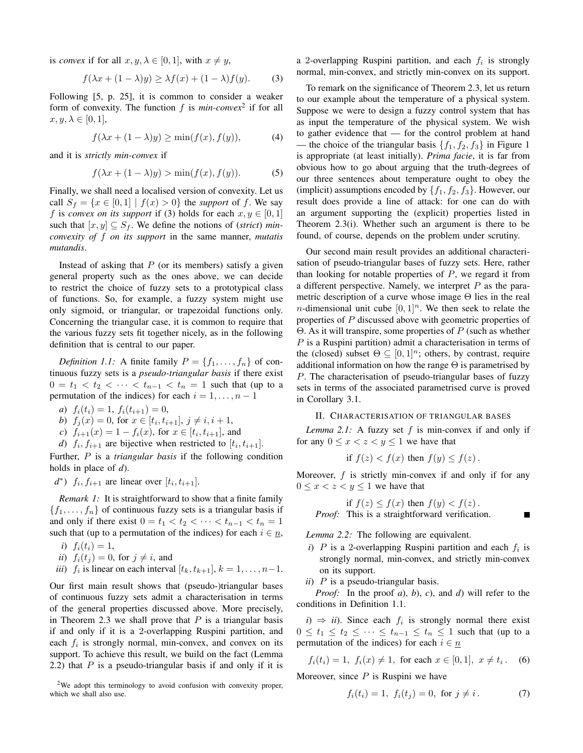is *convex* if for all  $x, y, \lambda \in [0, 1]$ , with  $x \neq y$ ,

$$
f(\lambda x + (1 - \lambda)y) \ge \lambda f(x) + (1 - \lambda)f(y).
$$
 (3)

Following [5, p. 25], it is common to consider a weaker form of convexity. The function *f* is *min-convex*<sup>2</sup> if for all  $x, y, \lambda \in [0, 1],$ 

$$
f(\lambda x + (1 - \lambda)y) \ge \min(f(x), f(y)), \tag{4}
$$

and it is *strictly min-convex* if

$$
f(\lambda x + (1 - \lambda)y) > \min(f(x), f(y)).
$$
 (5)

Finally, we shall need a localised version of convexity. Let us call  $S_f = \{x \in [0,1] \mid f(x) > 0\}$  the *support* of *f*. We say *f* is *convex on its support* if (3) holds for each  $x, y \in [0, 1]$ such that  $[x, y] \subseteq S_f$ . We define the notions of (*strict*) *minconvexity of f on its support* in the same manner, *mutatis mutandis*.

Instead of asking that  $P$  (or its members) satisfy a given general property such as the ones above, we can decide to restrict the choice of fuzzy sets to a prototypical class of functions. So, for example, a fuzzy system might use only sigmoid, or triangular, or trapezoidal functions only. Concerning the triangular case, it is common to require that the various fuzzy sets fit together nicely, as in the following definition that is central to our paper.

*Definition 1.1:* A finite family  $P = \{f_1, \ldots, f_n\}$  of continuous fuzzy sets is a *pseudo-triangular basis* if there exist 0 =  $t_1$  <  $t_2$  < ··· <  $t_{n-1}$  <  $t_n$  = 1 such that (up to a permutation of the indices) for each  $i = 1, \ldots, n - 1$ 

*a*)  $f_i(t_i) = 1, f_i(t_{i+1}) = 0,$ 

b) 
$$
f_j(x) = 0
$$
, for  $x \in [t_i, t_{i+1}], j \neq i, i+1$ ,

*c*)  $f_{i+1}(x) = 1 - f_i(x)$ , for  $x \in [t_i, t_{i+1}]$ , and

*d*)  $f_i, f_{i+1}$  are bijective when restricted to  $[t_i, t_{i+1}]$ .

Further, *P* is a *triangular basis* if the following condition holds in place of *d*).

*d*<sup>\*</sup>)  $f_i, f_{i+1}$  are linear over  $[t_i, t_{i+1}]$ .

*Remark 1:* It is straightforward to show that a finite family  ${f_1, \ldots, f_n}$  of continuous fuzzy sets is a triangular basis if and only if there exist  $0 = t_1 < t_2 < \cdots < t_{n-1} < t_n = 1$ such that (up to a permutation of the indices) for each  $i \in n$ ,

*i*)  $f_i(t_i) = 1$ ,

- *ii*)  $f_i(t_j) = 0$ , for  $j \neq i$ , and
- *iii*) *f<sub>i</sub>* is linear on each interval  $[t_k, t_{k+1}], k = 1, \ldots, n-1$ .

Our first main result shows that (pseudo-)triangular bases of continuous fuzzy sets admit a characterisation in terms of the general properties discussed above. More precisely, in Theorem 2.3 we shall prove that *P* is a triangular basis if and only if it is a 2-overlapping Ruspini partition, and each  $f_i$  is strongly normal, min-convex, and convex on its support. To achieve this result, we build on the fact (Lemma 2.2) that *P* is a pseudo-triangular basis if and only if it is

<sup>2</sup>We adopt this terminology to avoid confusion with convexity proper, which we shall also use.

a 2-overlapping Ruspini partition, and each  $f_i$  is strongly normal, min-convex, and strictly min-convex on its support.

To remark on the significance of Theorem 2.3, let us return to our example about the temperature of a physical system. Suppose we were to design a fuzzy control system that has as input the temperature of the physical system. We wish to gather evidence that — for the control problem at hand — the choice of the triangular basis  $\{f_1, f_2, f_3\}$  in Figure 1 is appropriate (at least initially). *Prima facie*, it is far from obvious how to go about arguing that the truth-degrees of our three sentences about temperature ought to obey the (implicit) assumptions encoded by  $\{f_1, f_2, f_3\}$ . However, our result does provide a line of attack: for one can do with an argument supporting the (explicit) properties listed in Theorem 2.3(i). Whether such an argument is there to be found, of course, depends on the problem under scrutiny.

Our second main result provides an additional characterisation of pseudo-triangular bases of fuzzy sets. Here, rather than looking for notable properties of *P*, we regard it from a different perspective. Namely, we interpret *P* as the parametric description of a curve whose image  $\Theta$  lies in the real *n*-dimensional unit cube  $[0, 1]^n$ . We then seek to relate the properties of *P* discussed above with geometric properties of Θ. As it will transpire, some properties of *P* (such as whether *P* is a Ruspini partition) admit a characterisation in terms of the (closed) subset  $\Theta \subseteq [0,1]^n$ ; others, by contrast, require additional information on how the range  $\Theta$  is parametrised by *P*. The characterisation of pseudo-triangular bases of fuzzy sets in terms of the associated parametrised curve is proved in Corollary 3.1.

### II. CHARACTERISATION OF TRIANGULAR BASES

*Lemma 2.1:* A fuzzy set *f* is min-convex if and only if for any  $0 \leq x \leq z \leq y \leq 1$  we have that

if 
$$
f(z) < f(x)
$$
 then  $f(y) \leq f(z)$ .

Moreover, *f* is strictly min-convex if and only if for any  $0 \leq x < z < y \leq 1$  we have that

$$
\text{if } f(z) \le f(x) \text{ then } f(y) < f(z) \, .
$$
\nProof: This is a straightforward verification.

*Lemma 2.2:* The following are equivalent.

- *i*) *P* is a 2-overlapping Ruspini partition and each  $f_i$  is strongly normal, min-convex, and strictly min-convex on its support.
- *ii*) *P* is a pseudo-triangular basis.

*Proof:* In the proof *a*), *b*), *c*), and *d*) will refer to the conditions in Definition 1.1.

 $i) \Rightarrow ii$ . Since each  $f_i$  is strongly normal there exist 0 ≤  $t_1$  ≤  $t_2$  ≤ · · · ≤  $t_{n-1}$  ≤  $t_n$  ≤ 1 such that (up to a permutation of the indices) for each  $i \in \underline{n}$ 

$$
f_i(t_i) = 1, \ f_i(x) \neq 1, \text{ for each } x \in [0, 1], \ x \neq t_i. \tag{6}
$$

Moreover, since *P* is Ruspini we have

$$
f_i(t_i) = 1, \ f_i(t_j) = 0, \text{ for } j \neq i. \tag{7}
$$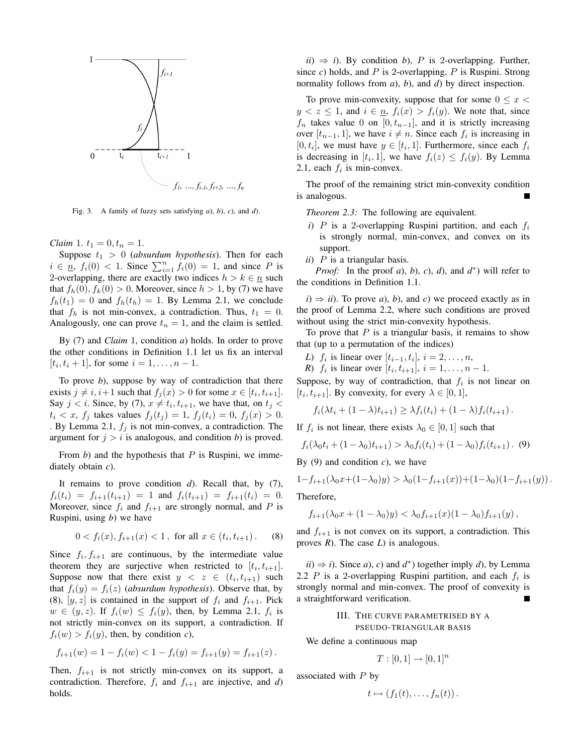

Fig. 3. A family of fuzzy sets satisfying *a*), *b*), *c*), and *d*).

*Claim* 1.  $t_1 = 0, t_n = 1$ .

Suppose  $t_1 > 0$  (*absurdum hypothesis*). Then for each  $i \in \underline{n}$ ,  $f_i(0) < 1$ . Since  $\sum_{i=1}^n f_i(0) = 1$ , and since *P* is 2-overlapping, there are exactly two indices  $h > k \in \underline{n}$  such that  $f_h(0)$ ,  $f_k(0) > 0$ . Moreover, since  $h > 1$ , by (7) we have  $f_h(t_1) = 0$  and  $f_h(t_h) = 1$ . By Lemma 2.1, we conclude that  $f_h$  is not min-convex, a contradiction. Thus,  $t_1 = 0$ . Analogously, one can prove  $t_n = 1$ , and the claim is settled.

By (7) and *Claim* 1, condition *a*) holds. In order to prove the other conditions in Definition 1.1 let us fix an interval  $[t_i, t_i + 1]$ , for some  $i = 1, \ldots, n - 1$ .

To prove *b*), suppose by way of contradiction that there exists  $j \neq i, i+1$  such that  $f_j(x) > 0$  for some  $x \in [t_i, t_{i+1}]$ . Say  $j < i$ . Since, by (7),  $x \neq t_i, t_{i+1}$ , we have that, on  $t_j <$  $t_i < x$ ,  $f_j$  takes values  $f_j(t_j) = 1$ ,  $f_j(t_i) = 0$ ,  $f_j(x) > 0$ . . By Lemma 2.1, *f<sup>j</sup>* is not min-convex, a contradiction. The argument for  $j > i$  is analogous, and condition *b*) is proved.

From *b*) and the hypothesis that *P* is Ruspini, we immediately obtain *c*).

It remains to prove condition *d*). Recall that, by (7),  $f_i(t_i) = f_{i+1}(t_{i+1}) = 1$  and  $f_i(t_{i+1}) = f_{i+1}(t_i) = 0$ . Moreover, since  $f_i$  and  $f_{i+1}$  are strongly normal, and P is Ruspini, using *b*) we have

$$
0 < f_i(x), f_{i+1}(x) < 1, \text{ for all } x \in (t_i, t_{i+1}). \tag{8}
$$

Since  $f_i, f_{i+1}$  are continuous, by the intermediate value theorem they are surjective when restricted to  $[t_i, t_{i+1}]$ . Suppose now that there exist  $y < z \in (t_i, t_{i+1})$  such that  $f_i(y) = f_i(z)$  (*absurdum hypothesis*). Observe that, by (8),  $[y, z]$  is contained in the support of  $f_i$  and  $f_{i+1}$ . Pick  $w \in (y, z)$ . If  $f_i(w) \leq f_i(y)$ , then, by Lemma 2.1,  $f_i$  is not strictly min-convex on its support, a contradiction. If  $f_i(w) > f_i(y)$ , then, by condition *c*),

$$
f_{i+1}(w) = 1 - f_i(w) < 1 - f_i(y) = f_{i+1}(y) = f_{i+1}(z).
$$

Then,  $f_{i+1}$  is not strictly min-convex on its support, a contradiction. Therefore,  $f_i$  and  $f_{i+1}$  are injective, and *d*) holds.

 $ii) \Rightarrow i$ ). By condition *b*), *P* is 2-overlapping. Further, since *c*) holds, and *P* is 2-overlapping, *P* is Ruspini. Strong normality follows from *a*), *b*), and *d*) by direct inspection.

To prove min-convexity, suppose that for some  $0 \leq x$  $y < z \leq 1$ , and  $i \in n$ ,  $f_i(x) > f_i(y)$ . We note that, since  $f_n$  takes value 0 on [0*, t<sub>n−1</sub>*], and it is strictly increasing over  $[t_{n-1}, 1]$ , we have  $i \neq n$ . Since each  $f_i$  is increasing in  $[0, t_i]$ , we must have  $y \in [t_i, 1]$ . Furthermore, since each  $f_i$ is decreasing in  $[t_i, 1]$ , we have  $f_i(z) \leq f_i(y)$ . By Lemma 2.1, each  $f_i$  is min-convex.

The proof of the remaining strict min-convexity condition is analogous.

*Theorem 2.3:* The following are equivalent.

- *i*) *P* is a 2-overlapping Ruspini partition, and each  $f_i$ is strongly normal, min-convex, and convex on its support.
- *ii*) *P* is a triangular basis.

*Proof:* In the proof *a*), *b*), *c*), *d*), and *d ∗* ) will refer to the conditions in Definition 1.1.

 $i) \Rightarrow ii$ . To prove *a*), *b*), and *c*) we proceed exactly as in the proof of Lemma 2.2, where such conditions are proved without using the strict min-convexity hypothesis.

To prove that *P* is a triangular basis, it remains to show that (up to a permutation of the indices)

- *L*) *f<sub>i</sub>* is linear over  $[t_{i-1}, t_i], i = 2, ..., n$ ,
- *R*) *f<sub>i</sub>* is linear over  $[t_i, t_{i+1}], i = 1, ..., n 1$ .

Suppose, by way of contradiction, that  $f_i$  is not linear on  $[t_i, t_{i+1}]$ . By convexity, for every  $\lambda \in [0, 1]$ ,

$$
f_i(\lambda t_i + (1 - \lambda)t_{i+1}) \geq \lambda f_i(t_i) + (1 - \lambda)f_i(t_{i+1}).
$$

If  $f_i$  is not linear, there exists  $\lambda_0 \in [0, 1]$  such that

$$
f_i(\lambda_0 t_i + (1 - \lambda_0)t_{i+1}) > \lambda_0 f_i(t_i) + (1 - \lambda_0) f_i(t_{i+1}).
$$
 (9)

By (9) and condition *c*), we have

$$
1 - f_{i+1}(\lambda_0 x + (1 - \lambda_0)y) > \lambda_0 (1 - f_{i+1}(x)) + (1 - \lambda_0)(1 - f_{i+1}(y)).
$$

Therefore,

$$
f_{i+1}(\lambda_0 x + (1 - \lambda_0)y) < \lambda_0 f_{i+1}(x)(1 - \lambda_0) f_{i+1}(y) \,,
$$

and  $f_{i+1}$  is not convex on its support, a contradiction. This proves *R*). The case *L*) is analogous.

 $\lambda$ *ii*)  $\Rightarrow$  *i*). Since *a*), *c*) and *d*<sup>\*</sup>) together imply *d*), by Lemma 2.2  $P$  is a 2-overlapping Ruspini partition, and each  $f_i$  is strongly normal and min-convex. The proof of convexity is a straightforward verification.

## III. THE CURVE PARAMETRISED BY A PSEUDO-TRIANGULAR BASIS

We define a continuous map

$$
T : [0, 1] \to [0, 1]^n
$$

associated with *P* by

$$
t\mapsto (f_1(t),\ldots,f_n(t)).
$$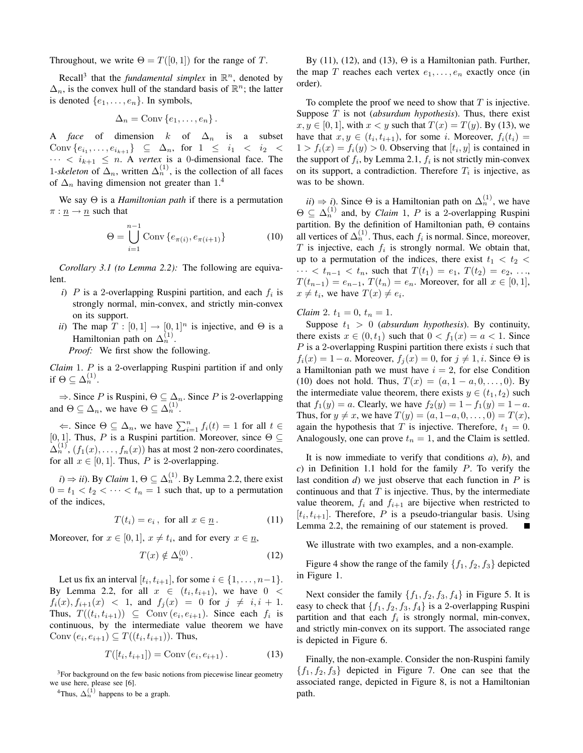Throughout, we write  $\Theta = T([0, 1])$  for the range of *T*.

Recall<sup>3</sup> that the *fundamental simplex* in  $\mathbb{R}^n$ , denoted by  $\Delta_n$ , is the convex hull of the standard basis of  $\mathbb{R}^n$ ; the latter is denoted  $\{e_1, \ldots, e_n\}$ . In symbols,

$$
\Delta_n = \text{Conv}\{e_1, \ldots, e_n\}.
$$

A *face* of dimension  $k$  of  $\Delta_n$  is a subset  $\text{Conv } \{e_{i_1}, \ldots, e_{i_{k+1}}\} \subseteq \Delta_n, \text{ for } 1 \leq i_1 < i_2 < \Delta_n$  $\cdots$  <  $i_{k+1} \leq n$ . A *vertex* is a 0-dimensional face. The 1-skeleton of  $\Delta_n$ , written  $\Delta_n^{(1)}$ , is the collection of all faces of  $\Delta_n$  having dimension not greater than 1.<sup>4</sup>

We say Θ is a *Hamiltonian path* if there is a permutation  $\pi$  :  $\underline{n} \rightarrow \underline{n}$  such that

$$
\Theta = \bigcup_{i=1}^{n-1} \text{Conv}\left\{e_{\pi(i)}, e_{\pi(i+1)}\right\} \tag{10}
$$

*Corollary 3.1 (to Lemma 2.2):* The following are equivalent.

- *i*) *P* is a 2-overlapping Ruspini partition, and each  $f_i$  is strongly normal, min-convex, and strictly min-convex on its support.
- *ii*) The map  $T : [0, 1] \rightarrow [0, 1]^n$  is injective, and  $\Theta$  is a Hamiltonian path on  $\Delta_n^{(1)}$ .

*Proof:* We first show the following.

*Claim* 1. *P* is a 2-overlapping Ruspini partition if and only if  $\Theta \subseteq \Delta_n^{(1)}$ .

*⇒*. Since *P* is Ruspini, Θ *⊆* ∆*n*. Since *P* is 2-overlapping and  $\Theta \subseteq \Delta_n$ , we have  $\Theta \subseteq \Delta_n^{(1)}$ .

 $\Leftarrow$ . Since  $\Theta \subseteq \Delta_n$ , we have  $\sum_{i=1}^n f_i(t) = 1$  for all  $t \in \Delta_n$ [0, 1]. Thus, *P* is a Ruspini partition. Moreover, since  $\Theta \subseteq$  $\Delta_n^{(1)}$ ,  $(f_1(x), \ldots, f_n(x))$  has at most 2 non-zero coordinates, for all  $x \in [0, 1]$ . Thus, P is 2-overlapping.

 $i) \Rightarrow ii$ ). By *Claim*  $1, \Theta \subseteq \Delta_n^{(1)}$ . By Lemma 2.2, there exist  $0 = t_1 < t_2 < \cdots < t_n = 1$  such that, up to a permutation of the indices,

$$
T(t_i) = e_i, \text{ for all } x \in \underline{n}.
$$
 (11)

Moreover, for  $x \in [0, 1]$ ,  $x \neq t_i$ , and for every  $x \in \underline{n}$ ,

$$
T(x) \notin \Delta_n^{(0)}.
$$
 (12)

Let us fix an interval  $[t_i, t_{i+1}]$ , for some  $i \in \{1, \ldots, n-1\}$ . By Lemma 2.2, for all  $x \in (t_i, t_{i+1})$ , we have  $0 <$  $f_i(x), f_{i+1}(x) < 1$ , and  $f_j(x) = 0$  for  $j \neq i, i + 1$ . Thus,  $T((t_i, t_{i+1})) \subseteq \text{Conv}(e_i, e_{i+1})$ . Since each  $f_i$  is continuous, by the intermediate value theorem we have  $Conv(e_i, e_{i+1}) \subseteq T((t_i, t_{i+1}))$ . Thus,

$$
T([t_i, t_{i+1}]) = \text{Conv}(e_i, e_{i+1}). \tag{13}
$$

<sup>3</sup>For background on the few basic notions from piecewise linear geometry we use here, please see [6].

<sup>4</sup>Thus,  $\Delta_n^{(1)}$  happens to be a graph.

By (11), (12), and (13),  $\Theta$  is a Hamiltonian path. Further, the map *T* reaches each vertex  $e_1, \ldots, e_n$  exactly once (in order).

To complete the proof we need to show that *T* is injective. Suppose *T* is not (*absurdum hypothesis*). Thus, there exist  $x, y \in [0, 1]$ , with  $x < y$  such that  $T(x) = T(y)$ . By (13), we have that  $x, y \in (t_i, t_{i+1})$ , for some *i*. Moreover,  $f_i(t_i) =$  $1 > f_i(x) = f_i(y) > 0$ . Observing that  $[t_i, y]$  is contained in the support of  $f_i$ , by Lemma 2.1,  $f_i$  is not strictly min-convex on its support, a contradiction. Therefore  $T_i$  is injective, as was to be shown.

 $(i) \Rightarrow i$ ). Since  $\Theta$  is a Hamiltonian path on  $\Delta_n^{(1)}$ , we have  $\Theta \subseteq \Delta_n^{(1)}$  and, by *Claim* 1, *P* is a 2-overlapping Ruspini partition. By the definition of Hamiltonian path, Θ contains all vertices of  $\Delta_n^{(1)}$ . Thus, each  $f_i$  is normal. Since, moreover, *T* is injective, each *f<sup>i</sup>* is strongly normal. We obtain that, up to a permutation of the indices, there exist  $t_1 < t_2 <$ *•* · · <  $t_{n-1}$  <  $t_n$ , such that  $T(t_1) = e_1, T(t_2) = e_2, ...,$ *T*( $t_{n-1}$ ) =  $e_{n-1}$ , *T*( $t_n$ ) =  $e_n$ . Moreover, for all *x* ∈ [0, 1],  $x \neq t_i$ , we have  $T(x) \neq e_i$ .

*Claim* 2.  $t_1 = 0$ ,  $t_n = 1$ .

Suppose  $t_1 > 0$  (*absurdum hypothesis*). By continuity, there exists  $x \in (0, t_1)$  such that  $0 \le f_1(x) = a \le 1$ . Since *P* is a 2-overlapping Ruspini partition there exists *i* such that  $f_i(x) = 1 - a$ . Moreover,  $f_i(x) = 0$ , for  $j \neq 1, i$ . Since  $\Theta$  is a Hamiltonian path we must have  $i = 2$ , for else Condition (10) does not hold. Thus,  $T(x) = (a, 1 - a, 0, \ldots, 0)$ . By the intermediate value theorem, there exists  $y \in (t_1, t_2)$  such that  $f_1(y) = a$ . Clearly, we have  $f_2(y) = 1 - f_1(y) = 1 - a$ . Thus, for  $y \neq x$ , we have  $T(y) = (a, 1-a, 0, \ldots, 0) = T(x)$ , again the hypothesis that *T* is injective. Therefore,  $t_1 = 0$ . Analogously, one can prove  $t_n = 1$ , and the Claim is settled.

It is now immediate to verify that conditions *a*), *b*), and *c*) in Definition 1.1 hold for the family *P*. To verify the last condition *d*) we just observe that each function in *P* is continuous and that *T* is injective. Thus, by the intermediate value theorem,  $f_i$  and  $f_{i+1}$  are bijective when restricted to  $[t_i, t_{i+1}]$ . Therefore, *P* is a pseudo-triangular basis. Using Lemma 2.2, the remaining of our statement is proved.

We illustrate with two examples, and a non-example.

Figure 4 show the range of the family  $\{f_1, f_2, f_3\}$  depicted in Figure 1.

Next consider the family  $\{f_1, f_2, f_3, f_4\}$  in Figure 5. It is easy to check that  $\{f_1, f_2, f_3, f_4\}$  is a 2-overlapping Ruspini partition and that each *f<sup>i</sup>* is strongly normal, min-convex, and strictly min-convex on its support. The associated range is depicted in Figure 6.

Finally, the non-example. Consider the non-Ruspini family *{f*1*, f*2*, f*3*}* depicted in Figure 7. One can see that the associated range, depicted in Figure 8, is not a Hamiltonian path.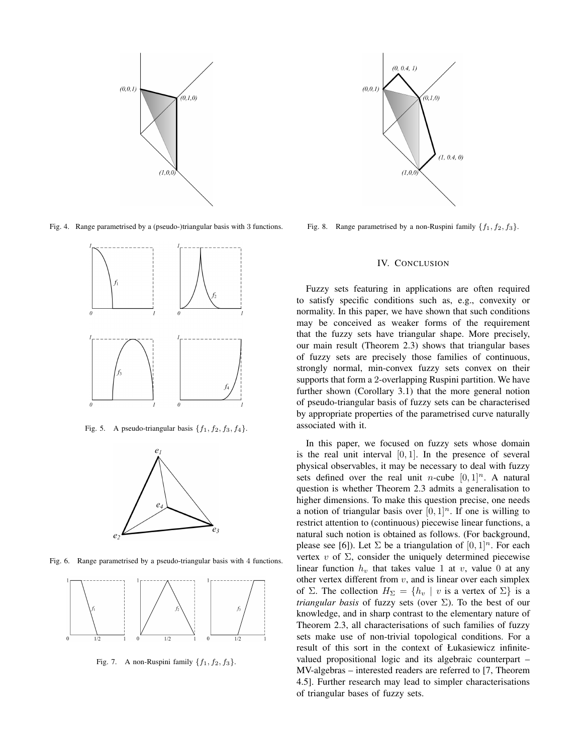

Fig. 4. Range parametrised by a (pseudo-)triangular basis with 3 functions.



Fig. 5. A pseudo-triangular basis  $\{f_1, f_2, f_3, f_4\}$ .



Fig. 6. Range parametrised by a pseudo-triangular basis with 4 functions.



Fig. 7. A non-Ruspini family  ${f_1, f_2, f_3}$ .



Fig. 8. Range parametrised by a non-Ruspini family  $\{f_1, f_2, f_3\}$ .

## IV. CONCLUSION

Fuzzy sets featuring in applications are often required to satisfy specific conditions such as, e.g., convexity or normality. In this paper, we have shown that such conditions may be conceived as weaker forms of the requirement that the fuzzy sets have triangular shape. More precisely, our main result (Theorem 2.3) shows that triangular bases of fuzzy sets are precisely those families of continuous, strongly normal, min-convex fuzzy sets convex on their supports that form a 2-overlapping Ruspini partition. We have further shown (Corollary 3.1) that the more general notion of pseudo-triangular basis of fuzzy sets can be characterised by appropriate properties of the parametrised curve naturally associated with it.

In this paper, we focused on fuzzy sets whose domain is the real unit interval [0*,* 1]. In the presence of several physical observables, it may be necessary to deal with fuzzy sets defined over the real unit *n*-cube  $[0, 1]^n$ . A natural question is whether Theorem 2.3 admits a generalisation to higher dimensions. To make this question precise, one needs a notion of triangular basis over  $[0, 1]^n$ . If one is willing to restrict attention to (continuous) piecewise linear functions, a natural such notion is obtained as follows. (For background, please see [6]). Let  $\Sigma$  be a triangulation of  $[0, 1]^n$ . For each vertex *v* of  $\Sigma$ , consider the uniquely determined piecewise linear function  $h<sub>v</sub>$  that takes value 1 at *v*, value 0 at any other vertex different from *v*, and is linear over each simplex of  $\Sigma$ . The collection  $H_{\Sigma} = \{h_v \mid v \text{ is a vertex of } \Sigma\}$  is a *triangular basis* of fuzzy sets (over  $\Sigma$ ). To the best of our knowledge, and in sharp contrast to the elementary nature of Theorem 2.3, all characterisations of such families of fuzzy sets make use of non-trivial topological conditions. For a result of this sort in the context of Łukasiewicz infinitevalued propositional logic and its algebraic counterpart – MV-algebras – interested readers are referred to [7, Theorem 4.5]. Further research may lead to simpler characterisations of triangular bases of fuzzy sets.